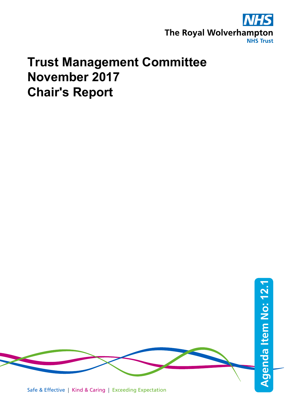

# **Trust Management Committee November 2017 Chair's Report**

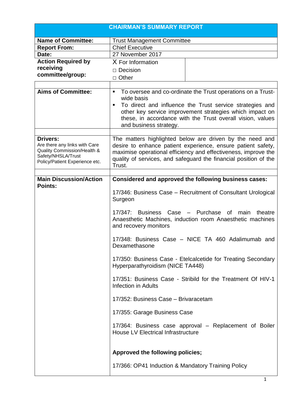|                                                              | <b>CHAIRMAN'S SUMMARY REPORT</b>                                           |                                                                                                                        |
|--------------------------------------------------------------|----------------------------------------------------------------------------|------------------------------------------------------------------------------------------------------------------------|
| <b>Name of Committee:</b>                                    | <b>Trust Management Committee</b>                                          |                                                                                                                        |
| <b>Report From:</b>                                          | <b>Chief Executive</b>                                                     |                                                                                                                        |
| Date:                                                        | 27 November 2017                                                           |                                                                                                                        |
| <b>Action Required by</b>                                    | X For Information                                                          |                                                                                                                        |
| receiving                                                    | $\Box$ Decision                                                            |                                                                                                                        |
| committee/group:                                             | □ Other                                                                    |                                                                                                                        |
|                                                              |                                                                            |                                                                                                                        |
| <b>Aims of Committee:</b>                                    | п                                                                          | To oversee and co-ordinate the Trust operations on a Trust-                                                            |
|                                                              | wide basis<br>To direct and influence the Trust service strategies and     |                                                                                                                        |
|                                                              | $\blacksquare$                                                             |                                                                                                                        |
|                                                              |                                                                            | other key service improvement strategies which impact on<br>these, in accordance with the Trust overall vision, values |
|                                                              | and business strategy.                                                     |                                                                                                                        |
|                                                              |                                                                            |                                                                                                                        |
| <b>Drivers:</b>                                              |                                                                            | The matters highlighted below are driven by the need and                                                               |
| Are there any links with Care<br>Quality Commission/Health & | desire to enhance patient experience, ensure patient safety,               |                                                                                                                        |
| Safety/NHSLA/Trust                                           | maximise operational efficiency and effectiveness, improve the             |                                                                                                                        |
| Policy/Patient Experience etc.                               | quality of services, and safeguard the financial position of the<br>Trust. |                                                                                                                        |
|                                                              |                                                                            |                                                                                                                        |
| <b>Main Discussion/Action</b>                                | Considered and approved the following business cases:                      |                                                                                                                        |
| <b>Points:</b>                                               |                                                                            |                                                                                                                        |
|                                                              | 17/346: Business Case – Recruitment of Consultant Urological               |                                                                                                                        |
|                                                              | Surgeon                                                                    |                                                                                                                        |
|                                                              | 17/347:                                                                    | Business Case - Purchase of<br>theatre<br>main<br>Anaesthetic Machines, induction room Anaesthetic machines            |
|                                                              | and recovery monitors                                                      |                                                                                                                        |
|                                                              | Dexamethasone                                                              | 17/348: Business Case - NICE TA 460 Adalimumab and                                                                     |
|                                                              | Hyperparathyroidism (NICE TA448)                                           | 17/350: Business Case - Etelcalcetide for Treating Secondary                                                           |
|                                                              | Infection in Adults                                                        | 17/351: Business Case - Stribild for the Treatment Of HIV-1                                                            |
|                                                              | 17/352: Business Case - Brivaracetam                                       |                                                                                                                        |
|                                                              | 17/355: Garage Business Case                                               |                                                                                                                        |
|                                                              | <b>House LV Electrical Infrastructure</b>                                  | 17/364: Business case approval - Replacement of Boiler                                                                 |
|                                                              | Approved the following policies;                                           |                                                                                                                        |
|                                                              |                                                                            |                                                                                                                        |
|                                                              | 17/366: OP41 Induction & Mandatory Training Policy                         |                                                                                                                        |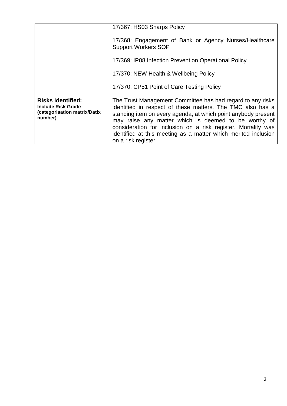|                                                                                                  | 17/367: HS03 Sharps Policy                                                                                                                                                                                                                                                                                                                                                                                  |
|--------------------------------------------------------------------------------------------------|-------------------------------------------------------------------------------------------------------------------------------------------------------------------------------------------------------------------------------------------------------------------------------------------------------------------------------------------------------------------------------------------------------------|
|                                                                                                  | 17/368: Engagement of Bank or Agency Nurses/Healthcare<br><b>Support Workers SOP</b>                                                                                                                                                                                                                                                                                                                        |
|                                                                                                  | 17/369: IP08 Infection Prevention Operational Policy                                                                                                                                                                                                                                                                                                                                                        |
|                                                                                                  | 17/370: NEW Health & Wellbeing Policy                                                                                                                                                                                                                                                                                                                                                                       |
|                                                                                                  | 17/370: CP51 Point of Care Testing Policy                                                                                                                                                                                                                                                                                                                                                                   |
| <b>Risks Identified:</b><br><b>Include Risk Grade</b><br>(categorisation matrix/Datix<br>number) | The Trust Management Committee has had regard to any risks<br>identified in respect of these matters. The TMC also has a<br>standing item on every agenda, at which point anybody present<br>may raise any matter which is deemed to be worthy of<br>consideration for inclusion on a risk register. Mortality was<br>identified at this meeting as a matter which merited inclusion<br>on a risk register. |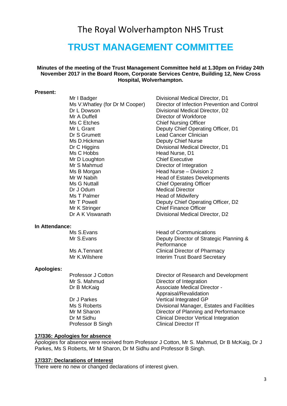## The Royal Wolverhampton NHS Trust

## **TRUST MANAGEMENT COMMITTEE**

## **Minutes of the meeting of the Trust Management Committee held at 1.30pm on Friday 24th November 2017 in the Board Room, Corporate Services Centre, Building 12, New Cross Hospital, Wolverhampton.**

#### **Present:**

| Mr I Badger                    |
|--------------------------------|
| Ms V.Whatley (for Dr M Cooper) |
| Dr L Dowson                    |
| Mr A Duffell                   |
| Ms C Etches                    |
| Mr L Grant                     |
| Dr S Grumett                   |
| Ms D.Hickman                   |
| Dr C Higgins                   |
| Ms C Hobbs                     |
| Mr D Loughton                  |
| Mr S Mahmud                    |
| Ms B Morgan                    |
| Mr W Nabih                     |
| Ms G Nuttall                   |
| Dr J Odum                      |
| Ms T Palmer                    |
| Mr T Powell                    |
| Mr K Stringer                  |
| Dr A K Viswanath               |
|                                |
|                                |

#### **In Attendance:**

#### **Apologies:**

Mr I Badger **Divisional Medical Director**, D1 Director of Infection Prevention and Control Divisional Medical Director, D2 Director of Workforce **Chief Nursing Officer** Deputy Chief Operating Officer, D1 Lead Cancer Clinician Deputy Chief Nurse Divisional Medical Director, D1 Head Nurse, D1 **Chief Executive** Director of Integration Head Nurse – Division 2 Head of Estates Developments **Chief Operating Officer Medical Director** Head of Midwifery Deputy Chief Operating Officer, D2 **Chief Finance Officer** Divisional Medical Director, D2

Ms S.Evans **Head of Communications** Mr S. Evans **Deputy Director of Strategic Planning & Performance** Ms A.Tennant Clinical Director of Pharmacy Mr K. Wilshere **Interim Trust Board Secretary** 

Professor J Cotton **Director of Research and Development** Mr S. Mahmud Director of Integration Dr B McKaig **Associate Medical Director -** Associate Medical Director -Appraisal/Revalidation Dr J Parkes Vertical Integrated GP Ms S Roberts Divisional Manager, Estates and Facilities Mr M Sharon Director of Planning and Performance Dr M Sidhu Clinical Director Vertical Integration Professor B Singh Clinical Director IT

### **17/336: Apologies for absence**

Apologies for absence were received from Professor J Cotton, Mr S. Mahmud, Dr B McKaig, Dr J Parkes, Ms S Roberts, Mr M Sharon, Dr M Sidhu and Professor B Singh.

#### **17/337: Declarations of Interest**

There were no new or changed declarations of interest given.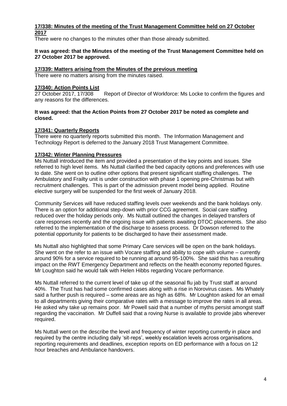## **17/338: Minutes of the meeting of the Trust Management Committee held on 27 October 2017**

There were no changes to the minutes other than those already submitted.

## **It was agreed: that the Minutes of the meeting of the Trust Management Committee held on 27 October 2017 be approved.**

## **17/339: Matters arising from the Minutes of the previous meeting**

There were no matters arising from the minutes raised.

## **17/340: Action Points List**

Report of Director of Workforce: Ms Locke to confirm the figures and any reasons for the differences.

## **It was agreed: that the Action Points from 27 October 2017 be noted as complete and closed.**

## **17/341: Quarterly Reports**

There were no quarterly reports submitted this month. The Information Management and Technology Report is deferred to the January 2018 Trust Management Committee.

## **17/342: Winter Planning Pressures**

Ms Nuttall introduced the item and provided a presentation of the key points and issues. She referred to high level items. Ms Nuttall clarified the bed capacity options and preferences with use to date. She went on to outline other options that present significant staffing challenges. The Ambulatory and Frailty unit is under construction with phase 1 opening pre-Christmas but with recruitment challenges. This is part of the admission prevent model being applied. Routine elective surgery will be suspended for the first week of January 2018.

Community Services will have reduced staffing levels over weekends and the bank holidays only. There is an option for additional step-down with prior CCG agreement. Social care staffing reduced over the holiday periods only. Ms Nuttall outlined the changes in delayed transfers of care responses recently and the ongoing issue with patients awaiting DTOC placements. She also referred to the implementation of the discharge to assess process. Dr Dowson referred to the potential opportunity for patients to be discharged to have their assessment made.

Ms Nuttall also highlighted that some Primary Care services will be open on the bank holidays. She went on the refer to an issue with Vocare staffing and ability to cope with volume – currently around 90% for a service required to be running at around 95-100%. She said this has a resulting impact on the RWT Emergency Department and reflects on the health economy reported figures. Mr Loughton said he would talk with Helen Hibbs regarding Vocare performance.

Ms Nuttall referred to the current level of take up of the seasonal flu jab by Trust staff at around 40%. The Trust has had some confirmed cases along with a rise in Norovirus cases. Ms Whately said a further push is required – some areas are as high as 68%. Mr Loughton asked for an email to all departments giving their comparative rates with a message to improve the rates in all areas. He asked why take up remains poor. Mr Powell said that a number of myths persist amongst staff regarding the vaccination. Mr Duffell said that a roving Nurse is available to provide jabs wherever required.

Ms Nuttall went on the describe the level and frequency of winter reporting currently in place and required by the centre including daily 'sit-reps', weekly escalation levels across organisations, reporting requirements and deadlines, exception reports on ED performance with a focus on 12 hour breaches and Ambulance handovers.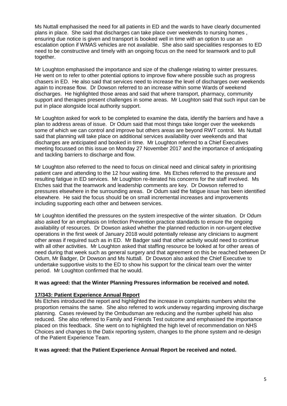Ms Nuttall emphasised the need for all patients in ED and the wards to have clearly documented plans in place. She said that discharges can take place over weekends to nursing homes , ensuring due notice is given and transport is booked well in time with an option to use an escalation option if WMAS vehicles are not available. She also said specialities responses to ED need to be constructive and timely with an ongoing focus on the need for teamwork and to pull together.

Mr Loughton emphasised the importance and size of the challenge relating to winter pressures. He went on to refer to other potential options to improve flow where possible such as progress chasers in ED. He also said that services need to increase the level of discharges over weekends again to increase flow. Dr Dowson referred to an increase within some Wards of weekend discharges. He highlighted those areas and said that where transport, pharmacy, community support and therapies present challenges in some areas. Mr Loughton said that such input can be put in place alongside local authority support.

Mr Loughton asked for work to be completed to examine the data, identify the barriers and have a plan to address areas of issue. Dr Odum said that most things take longer over the weekends some of which we can control and improve but others areas are beyond RWT control. Ms Nuttall said that planning will take place on additional services availability over weekends and that discharges are anticipated and booked in time. Mr Loughton referred to a Chief Executives meeting focussed on this issue on Monday 27 November 2017 and the importance of anticipating and tackling barriers to discharge and flow.

Mr Loughton also referred to the need to focus on clinical need and clinical safety in prioritising patient care and attending to the 12 hour waiting time. Ms Etches referred to the pressure and resulting fatigue in ED services. Mr Loughton re-iterated his concerns for the staff involved. Ms Etches said that the teamwork and leadership comments are key. Dr Dowson referred to pressures elsewhere in the surrounding areas. Dr Odum said the fatigue issue has been identified elsewhere. He said the focus should be on small incremental increases and improvements including supporting each other and between services.

Mr Loughton identified the pressures on the system irrespective of the winter situation. Dr Odum also asked for an emphasis on Infection Prevention practice standards to ensure the ongoing availability of resources. Dr Dowson asked whether the planned reduction in non-urgent elective operations in the first week of January 2018 would potentially release any clinicians to augment other areas if required such as in ED. Mr Badger said that other activity would need to continue with all other activities. Mr Loughton asked that staffing resource be looked at for other areas of need during that week such as general surgery and that agreement on this be reached between Dr Odum, Mr Badger, Dr Dowson and Ms Nuttall. Dr Dowson also asked the Chief Executive to undertake supportive visits to the ED to show his support for the clinical team over the winter period. Mr Loughton confirmed that he would.

## **It was agreed: that the Winter Planning Pressures information be received and noted.**

## **17/343: Patient Experience Annual Report**

Ms Etches introduced the report and highlighted the increase in complaints numbers whilst the proportion remains the same. She also referred to work underway regarding improving discharge planning. Cases reviewed by the Ombudsman are reducing and the number upheld has also reduced. She also referred to Family and Friends Test outcome and emphasised the importance placed on this feedback. She went on to highlighted the high level of recommendation on NHS Choices and changes to the Datix reporting system, changes to the phone system and re-design of the Patient Experience Team.

#### **It was agreed: that the Patient Experience Annual Report be received and noted.**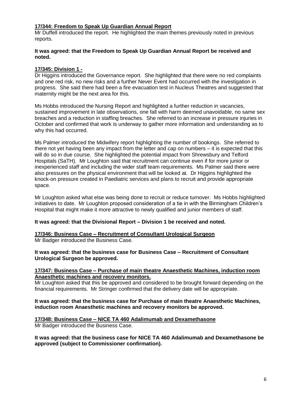## **17/344: Freedom to Speak Up Guardian Annual Report**

Mr Duffell introduced the report. He highlighted the main themes previously noted in previous reports.

## **It was agreed: that the Freedom to Speak Up Guardian Annual Report be received and noted.**

## **17/345: Division 1 -**

Dr Higgins introduced the Governance report. She highlighted that there were no red complaints and one red risk, no new risks and a further Never Event had occurred with the investigation in progress. She said there had been a fire evacuation test in Nucleus Theatres and suggested that maternity might be the next area for this.

Ms Hobbs introduced the Nursing Report and highlighted a further reduction in vacancies, sustained improvement in late observations, one fall with harm deemed unavoidable, no same sex breaches and a reduction in staffing breaches. She referred to an increase in pressure injuries in October and confirmed that work is underway to gather more information and understanding as to why this had occurred.

Ms Palmer introduced the Midwifery report highlighting the number of bookings. She referred to there not yet having been any impact from the letter and cap on numbers – it is expected that this will do so in due course. She highlighted the potential impact from Shrewsbury and Telford Hospitals (SaTH). Mr Loughton said that recruitment can continue even if for more junior or inexperienced staff and including the wider staff team requirements. Ms Palmer said there were also pressures on the physical environment that will be looked at. Dr Higgins highlighted the knock-on pressure created in Paediatric services and plans to recruit and provide appropriate space.

Mr Loughton asked what else was being done to recruit or reduce turnover. Ms Hobbs highlighted initiatives to date. Mr Loughton proposed consideration of a tie in with the Birmingham Children's Hospital that might make it more attractive to newly qualified and junior members of staff.

## **It was agreed: that the Divisional Report – Division 1 be received and noted.**

## **17/346: Business Case – Recruitment of Consultant Urological Surgeon**

Mr Badger introduced the Business Case.

## **It was agreed: that the business case for Business Case – Recruitment of Consultant Urological Surgeon be approved.**

#### **17/347: Business Case – Purchase of main theatre Anaesthetic Machines, induction room Anaesthetic machines and recovery monitors.**

Mr Loughton asked that this be approved and considered to be brought forward depending on the financial requirements. Mr Stringer confirmed that the delivery date will be appropriate.

## **It was agreed: that the business case for Purchase of main theatre Anaesthetic Machines, induction room Anaesthetic machines and recovery monitors be approved.**

## **17/348: Business Case – NICE TA 460 Adalimumab and Dexamethasone**

Mr Badger introduced the Business Case.

**It was agreed: that the business case for NICE TA 460 Adalimumab and Dexamethasone be approved (subject to Commissioner confirmation).**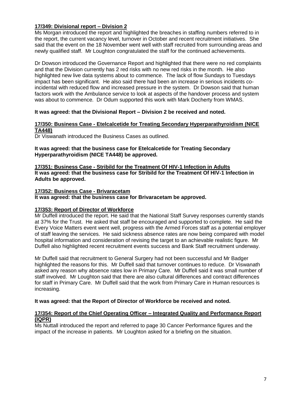## **17/349: Divisional report – Division 2**

Ms Morgan introduced the report and highlighted the breaches in staffing numbers referred to in the report, the current vacancy level, turnover in October and recent recruitment initiatives. She said that the event on the 18 November went well with staff recruited from surrounding areas and newly qualified staff. Mr Loughton congratulated the staff for the continued achievements.

Dr Dowson introduced the Governance Report and highlighted that there were no red complaints and that the Division currently has 2 red risks with no new red risks in the month. He also highlighted new live data systems about to commence. The lack of flow Sundays to Tuesdays impact has been significant. He also said there had been an increase in serious incidents coincidental with reduced flow and increased pressure in the system. Dr Dowson said that human factors work with the Ambulance service to look at aspects of the handover process and system was about to commence. Dr Odum supported this work with Mark Docherty from WMAS.

## **It was agreed: that the Divisional Report – Division 2 be received and noted.**

## **17/350: Business Case - Etelcalcetide for Treating Secondary Hyperparathyroidism (NICE TA448)**

Dr Viswanath introduced the Business Cases as outlined.

**It was agreed: that the business case for Etelcalcetide for Treating Secondary Hyperparathyroidism (NICE TA448) be approved.**

**17/351: Business Case - Stribild for the Treatment Of HIV-1 Infection in Adults It was agreed: that the business case for Stribild for the Treatment Of HIV-1 Infection in Adults be approved.**

## **17/352: Business Case - Brivaracetam**

**It was agreed: that the business case for Brivaracetam be approved.**

## **17/353: Report of Director of Workforce**

Mr Duffell introduced the report. He said that the National Staff Survey responses currently stands at 37% for the Trust. He asked that staff be encouraged and supported to complete. He said the Every Voice Matters event went well, progress with the Armed Forces staff as a potential employer of staff leaving the services. He said sickness absence rates are now being compared with model hospital information and consideration of revising the target to an achievable realistic figure. Mr Duffell also highlighted recent recruitment events success and Bank Staff recruitment underway.

Mr Duffell said that recruitment to General Surgery had not been successful and Mr Badger highlighted the reasons for this. Mr Duffell said that turnover continues to reduce. Dr Viswanath asked any reason why absence rates low in Primary Care. Mr Duffell said it was small number of staff involved. Mr Loughton said that there are also cultural differences and contract differences for staff in Primary Care. Mr Duffell said that the work from Primary Care in Human resources is increasing.

#### **It was agreed: that the Report of Director of Workforce be received and noted.**

## **17/354: Report of the Chief Operating Officer – Integrated Quality and Performance Report (IQPR)**

Ms Nuttall introduced the report and referred to page 30 Cancer Performance figures and the impact of the increase in patients. Mr Loughton asked for a briefing on the situation.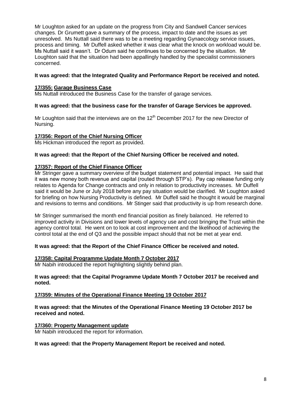Mr Loughton asked for an update on the progress from City and Sandwell Cancer services changes. Dr Grumett gave a summary of the process, impact to date and the issues as yet unresolved. Ms Nuttall said there was to be a meeting regarding Gynaecology service issues, process and timing. Mr Duffell asked whether it was clear what the knock on workload would be. Ms Nuttall said it wasn't. Dr Odum said he continues to be concerned by the situation. Mr Loughton said that the situation had been appallingly handled by the specialist commissioners concerned.

## **It was agreed: that the Integrated Quality and Performance Report be received and noted.**

## **17/355: Garage Business Case**

Ms Nuttall introduced the Business Case for the transfer of garage services.

## **It was agreed: that the business case for the transfer of Garage Services be approved.**

Mr Loughton said that the interviews are on the  $12<sup>th</sup>$  December 2017 for the new Director of Nursing.

## **17/356: Report of the Chief Nursing Officer**

Ms Hickman introduced the report as provided.

## **It was agreed: that the Report of the Chief Nursing Officer be received and noted.**

## **17/357: Report of the Chief Finance Officer**

Mr Stringer gave a summary overview of the budget statement and potential impact. He said that it was new money both revenue and capital (routed through STP's). Pay cap release funding only relates to Agenda for Change contracts and only in relation to productivity increases. Mr Duffell said it would be June or July 2018 before any pay situation would be clarified. Mr Loughton asked for briefing on how Nursing Productivity is defined. Mr Duffell said he thought it would be marginal and revisions to terms and conditions. Mr Stinger said that productivity is up from research done.

Mr Stringer summarised the month end financial position as finely balanced. He referred to improved activity in Divisions and lower levels of agency use and cost bringing the Trust within the agency control total. He went on to look at cost improvement and the likelihood of achieving the control total at the end of Q3 and the possible impact should that not be met at year end.

## **It was agreed: that the Report of the Chief Finance Officer be received and noted.**

## **17/358: Capital Programme Update Month 7 October 2017**

Mr Nabih introduced the report highlighting slightly behind plan.

## **It was agreed: that the Capital Programme Update Month 7 October 2017 be received and noted.**

## **17/359: Minutes of the Operational Finance Meeting 19 October 2017**

**It was agreed: that the Minutes of the Operational Finance Meeting 19 October 2017 be received and noted.**

## **17/360: Property Management update**

Mr Nabih introduced the report for information.

#### **It was agreed: that the Property Management Report be received and noted.**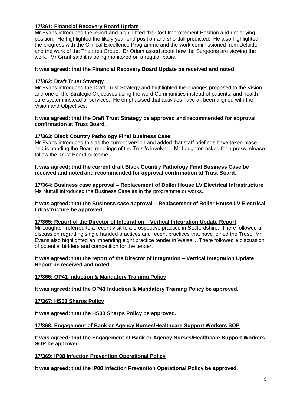## **17/361: Financial Recovery Board Update**

Mr Evans introduced the report and highlighted the Cost Improvement Position and underlying position. He highlighted the likely year end position and shortfall predicted. He also highlighted the progress with the Clinical Excellence Programme and the work commissioned from Deloitte and the work of the Theatres Group. Dr Odum asked about how the Surgeons are viewing the work. Mr Grant said it is being monitored on a regular basis.

## **It was agreed: that the Financial Recovery Board Update be received and noted.**

## **17/362: Draft Trust Strategy**

Mr Evans introduced the Draft Trust Strategy and highlighted the changes proposed to the Vision and one of the Strategic Objectives using the word Communities instead of patients, and health care system instead of services. He emphasised that activities have all been aligned with the Vision and Objectives.

### **It was agreed: that the Draft Trust Strategy be approved and recommended for approval confirmation at Trust Board.**

#### **17/363: Black Country Pathology Final Business Case**

Mr Evans introduced this as the current version and added that staff briefings have taken place and is pending the Board meetings of the Trust's involved. Mr Loughton asked for a press release follow the Trust Board outcome.

**It was agreed: that the current draft Black Country Pathology Final Business Case be received and noted and recommended for approval confirmation at Trust Board.**

**17/364: Business case approval – Replacement of Boiler House LV Electrical Infrastructure** Ms Nuttall introduced the Business Case as in the programme or works.

**It was agreed: that the Business case approval – Replacement of Boiler House LV Electrical Infrastructure be approved.**

#### **17/365: Report of the Director of Integration – Vertical Integration Update Report**

Mr Loughton referred to a recent visit to a prospective practice in Staffordshire. There followed a discussion regarding single handed practices and recent practices that have joined the Trust. Mr Evans also highlighted an impending eight practice tender in Walsall. There followed a discussion of potential bidders and competition for the tender.

### **It was agreed: that the report of the Director of Integration – Vertical Integration Update Report be received and noted.**

## **17/366: OP41 Induction & Mandatory Training Policy**

**It was agreed: that the OP41 Induction & Mandatory Training Policy be approved.**

## **17/367: HS03 Sharps Policy**

**It was agreed: that the HS03 Sharps Policy be approved.**

#### **17/368: Engagement of Bank or Agency Nurses/Healthcare Support Workers SOP**

**It was agreed: that the Engagement of Bank or Agency Nurses/Healthcare Support Workers SOP be approved.**

#### **17/369: IP08 Infection Prevention Operational Policy**

**It was agreed: that the IP08 Infection Prevention Operational Policy be approved.**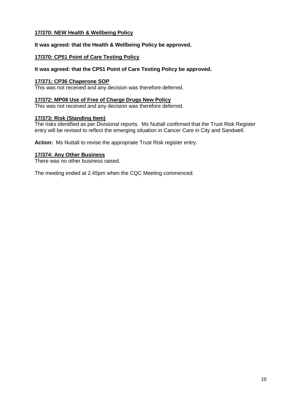## **17/370: NEW Health & Wellbeing Policy**

**It was agreed: that the Health & Wellbeing Policy be approved.**

## **17/370: CP51 Point of Care Testing Policy**

## **It was agreed: that the CP51 Point of Care Testing Policy be approved.**

## **17/371: CP36 Chaperone SOP**

This was not received and any decision was therefore deferred.

#### **17/372: MP08 Use of Free of Charge Drugs New Policy**

This was not received and any decision was therefore deferred.

## **17/373: Risk (Standing Item)**

The risks identified as per Divisional reports. Ms Nuttall confirmed that the Trust Risk Register entry will be revised to reflect the emerging situation in Cancer Care in City and Sandwell.

**Action:** Ms Nuttall to revise the appropriate Trust Risk register entry.

## **17/374: Any Other Business**

There was no other business raised.

The meeting ended at 2.45pm when the CQC Meeting commenced.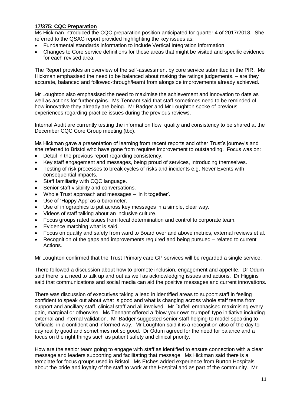## **17/375: CQC Preparation**

Ms Hickman introduced the CQC preparation position anticipated for quarter 4 of 2017/2018. She referred to the QSAG report provided highlighting the key issues as:

- Fundamental standards information to include Vertical Integration information
- Changes to Core service definitions for those areas that might be visited and specific evidence for each revised area.

The Report provides an overview of the self-assessment by core service submitted in the PIR. Ms Hickman emphasised the need to be balanced about making the ratings judgements. – are they accurate, balanced and followed-through/learnt from alongside improvements already achieved.

Mr Loughton also emphasised the need to maximise the achievement and innovation to date as well as actions for further gains. Ms Tennant said that staff sometimes need to be reminded of how innovative they already are being. Mr Badger and Mr Loughton spoke of previous experiences regarding practice issues during the previous reviews.

Internal Audit are currently testing the information flow, quality and consistency to be shared at the December CQC Core Group meeting (tbc).

Ms Hickman gave a presentation of learning from recent reports and other Trust's journey's and she referred to Bristol who have gone from requires improvement to outstanding. Focus was on:

- Detail in the previous report regarding consistency.
- Key staff engagement and messages, being proud of services, introducing themselves.
- Testing of risk processes to break cycles of risks and incidents e.g. Never Events with consequential impacts.
- Staff familiarity with CQC language.
- Senior staff visibility and conversations.
- Whole Trust approach and messages 'in it together'.
- Use of 'Happy App' as a barometer.
- Use of infographics to put across key messages in a simple, clear way.
- Videos of staff talking about an inclusive culture.
- Focus groups rated issues from local determination and control to corporate team.
- Evidence matching what is said.
- Focus on quality and safety from ward to Board over and above metrics, external reviews et al.
- Recognition of the gaps and improvements required and being pursued related to current Actions.

Mr Loughton confirmed that the Trust Primary care GP services will be regarded a single service.

There followed a discussion about how to promote inclusion, engagement and appetite. Dr Odum said there is a need to talk up and out as well as acknowledging issues and actions. Dr Higgins said that communications and social media can aid the positive messages and current innovations.

There was discussion of executives taking a lead in identified areas to support staff in feeling confident to speak out about what is good and what is changing across whole staff teams from support and ancillary staff, clinical staff and all involved. Mr Duffell emphasised maximising every gain, marginal or otherwise. Ms Tennant offered a 'blow your own trumpet' type initiative including external and internal validation. Mr Badger suggested senior staff helping to model speaking to 'officials' in a confident and informed way. Mr Loughton said it is a recognition also of the day to day reality good and sometimes not so good. Dr Odum agreed for the need for balance and a focus on the right things such as patient safety and clinical priority.

How are the senior team going to engage with staff as identified to ensure connection with a clear message and leaders supporting and facilitating that message. Ms Hickman said there is a template for focus groups used in Bristol. Ms Etches added experience from Burton Hospitals about the pride and loyalty of the staff to work at the Hospital and as part of the community. Mr